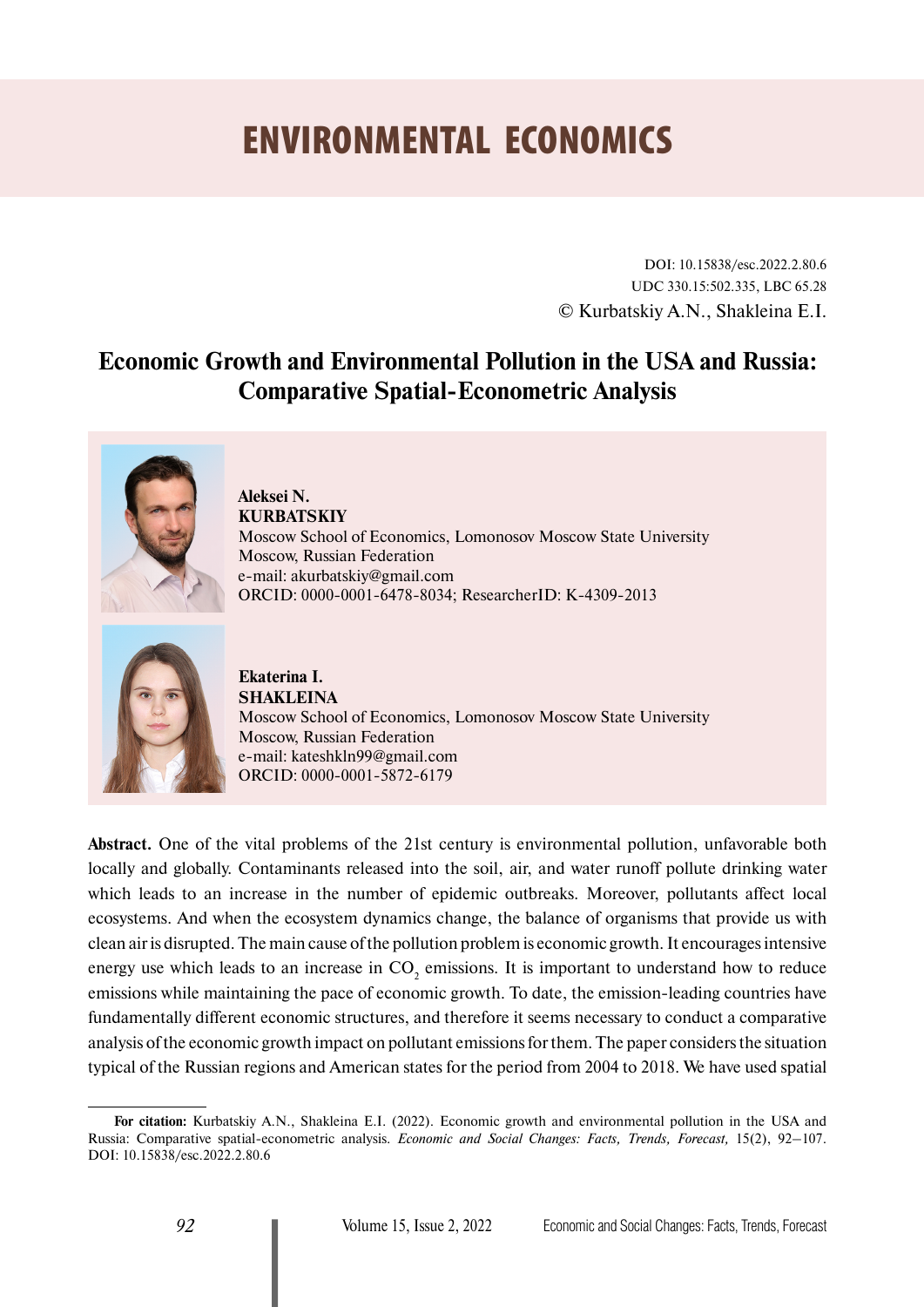# ENVIRONMENTAL ECONOMICS

DOI: 10.15838/esc.2022.2.80.6 UDC 330.15:502.335, LBC 65.28 © Kurbatskiy A.N., Shakleina E.I.

# **Economic Growth and Environmental Pollution in the USA and Russia: Comparative Spatial-Econometric Analysis**



**Aleksei N. KURBATSKIY** Moscow School of Economics, Lomonosov Moscow State University Moscow, Russian Federation e-mail: [akurbatskiy@gmail.com](mailto:akurbatskiy@gmail.com) ORCID: [0000-0001-6478-8034;](https://orcid.org/0000-0001-6478-8034) ResearcherID: [K-4309-2013](https://publons.com/researcher/2605071/alexey-n-kurbatskiy/)



**Ekaterina I. SHAKLEINA** Moscow School of Economics, Lomonosov Moscow State University Moscow, Russian Federation e-mail: [kateshkln99@gmail.com](mailto:kateshkln99@gmail.com) ORCID: [0000-0001-5872-6179](https://orcid.org/0000-0001-5872-6179)

**Abstract.** One of the vital problems of the 21st century is environmental pollution, unfavorable both locally and globally. Contaminants released into the soil, air, and water runoff pollute drinking water which leads to an increase in the number of epidemic outbreaks. Moreover, pollutants affect local ecosystems. And when the ecosystem dynamics change, the balance of organisms that provide us with clean air is disrupted. The main cause of the pollution problem is economic growth. It encourages intensive energy use which leads to an increase in  $CO_2$  emissions. It is important to understand how to reduce emissions while maintaining the pace of economic growth. To date, the emission-leading countries have fundamentally different economic structures, and therefore it seems necessary to conduct a comparative analysis of the economic growth impact on pollutant emissions for them. The paper considers the situation typical of the Russian regions and American states for the period from 2004 to 2018. We have used spatial

**For citation:** Kurbatskiy А.N., Shakleina E.I. (2022). Economic growth and environmental pollution in the USA and Russia: Comparative spatial-econometric analysis. *Economic and Social Changes: Facts, Trends, Forecast,* 15(2), 92–107. DOI: 10.15838/esc.2022.2.80.6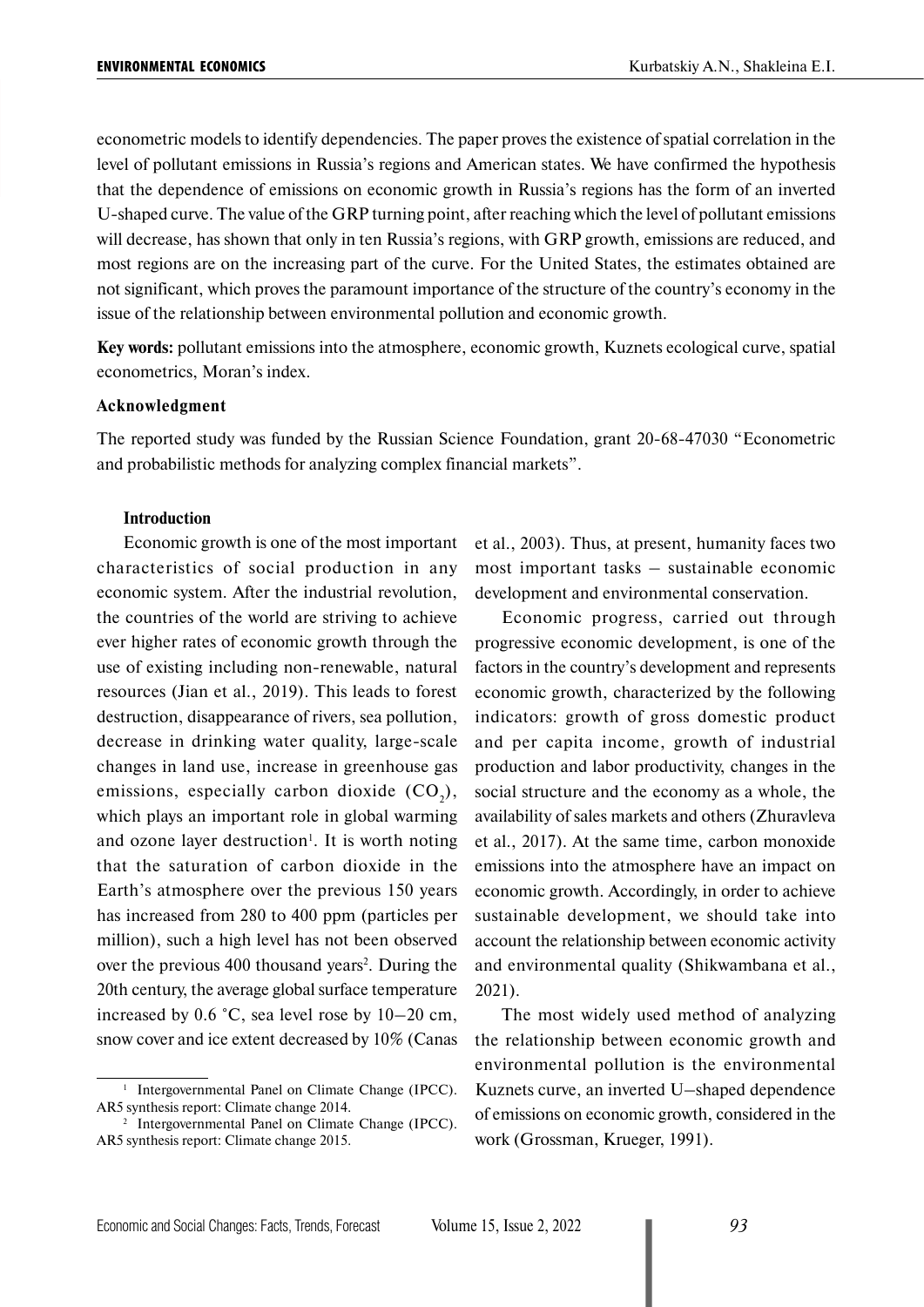econometric models to identify dependencies. The paper proves the existence of spatial correlation in the level of pollutant emissions in Russia's regions and American states. We have confirmed the hypothesis that the dependence of emissions on economic growth in Russia's regions has the form of an inverted U-shaped curve. The value of the GRP turning point, after reaching which the level of pollutant emissions will decrease, has shown that only in ten Russia's regions, with GRP growth, emissions are reduced, and most regions are on the increasing part of the curve. For the United States, the estimates obtained are not significant, which proves the paramount importance of the structure of the country's economy in the issue of the relationship between environmental pollution and economic growth.

**Key words:** pollutant emissions into the atmosphere, economic growth, Kuznets ecological curve, spatial econometrics, Moran's index.

#### **Acknowledgment**

The reported study was funded by the Russian Science Foundation, grant 20-68-47030 "Econometric and probabilistic methods for analyzing complex financial markets".

#### **Introduction**

Economic growth is one of the most important characteristics of social production in any economic system. After the industrial revolution, the countries of the world are striving to achieve ever higher rates of economic growth through the use of existing including non-renewable, natural resources (Jian et al., 2019). This leads to forest destruction, disappearance of rivers, sea pollution, decrease in drinking water quality, large-scale changes in land use, increase in greenhouse gas emissions, especially carbon dioxide  $(CO_2)$ , which plays an important role in global warming and ozone layer destruction<sup>1</sup>. It is worth noting that the saturation of carbon dioxide in the Earth's atmosphere over the previous 150 years has increased from 280 to 400 ppm (particles per million), such a high level has not been observed over the previous 400 thousand years<sup>2</sup>. During the 20th century, the average global surface temperature increased by 0.6 °C, sea level rose by 10–20 cm, snow cover and ice extent decreased by 10% (Canas

et al., 2003). Thus, at present, humanity faces two most important tasks – sustainable economic development and environmental conservation.

Economic progress, carried out through progressive economic development, is one of the factors in the country's development and represents economic growth, characterized by the following indicators: growth of gross domestic product and per capita income, growth of industrial production and labor productivity, changes in the social structure and the economy as a whole, the availability of sales markets and others (Zhuravleva et al., 2017). At the same time, carbon monoxide emissions into the atmosphere have an impact on economic growth. Accordingly, in order to achieve sustainable development, we should take into account the relationship between economic activity and environmental quality (Shikwambana et al., 2021).

The most widely used method of analyzing the relationship between economic growth and environmental pollution is the environmental Kuznets curve, an inverted U–shaped dependence of emissions on economic growth, considered in the work (Grossman, Krueger, 1991).

<sup>&</sup>lt;sup>1</sup> Intergovernmental Panel on Climate Change (IPCC). AR5 synthesis report: Climate change 2014.<br><sup>2</sup> Intergovernmental Panel on Climate Change (IPCC).

AR5 synthesis report: Climate change 2015.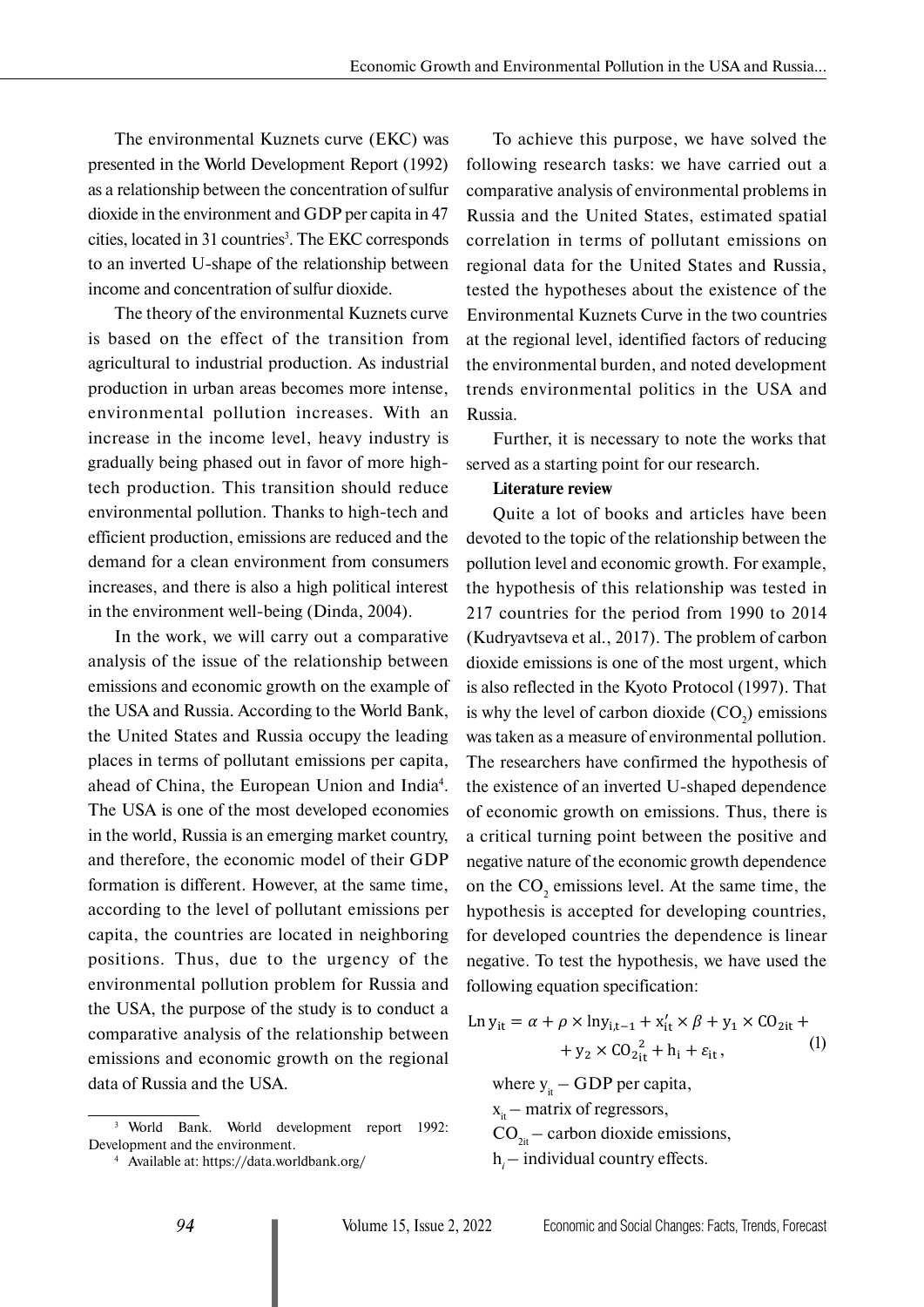The environmental Kuznets curve (EKC) was presented in the World Development Report (1992) as a relationship between the concentration of sulfur dioxide in the environment and GDP per capita in 47 cities, located in 31 countries<sup>3</sup>. The EKC corresponds to an inverted U-shape of the relationship between income and concentration of sulfur dioxide.

The theory of the environmental Kuznets curve is based on the effect of the transition from agricultural to industrial production. As industrial production in urban areas becomes more intense, environmental pollution increases. With an increase in the income level, heavy industry is gradually being phased out in favor of more hightech production. This transition should reduce environmental pollution. Thanks to high-tech and efficient production, emissions are reduced and the demand for a clean environment from consumers increases, and there is also a high political interest in the environment well-being (Dinda, 2004).

In the work, we will carry out a comparative analysis of the issue of the relationship between emissions and economic growth on the example of the USA and Russia. According to the World Bank, the United States and Russia occupy the leading places in terms of pollutant emissions per capita, ahead of China, the European Union and India<sup>4</sup>. The USA is one of the most developed economies in the world, Russia is an emerging market country, and therefore, the economic model of their GDP formation is different. However, at the same time, according to the level of pollutant emissions per capita, the countries are located in neighboring positions. Thus, due to the urgency of the environmental pollution problem for Russia and the USA, the purpose of the study is to conduct a comparative analysis of the relationship between emissions and economic growth on the regional data of Russia and the USA.

To achieve this purpose, we have solved the following research tasks: we have carried out a comparative analysis of environmental problems in Russia and the United States, estimated spatial correlation in terms of pollutant emissions on regional data for the United States and Russia, tested the hypotheses about the existence of the Environmental Kuznets Curve in the two countries at the regional level, identified factors of reducing the environmental burden, and noted development trends environmental politics in the USA and Russia.

Further, it is necessary to note the works that served as a starting point for our research.

#### **Literature review**

Quite a lot of books and articles have been devoted to the topic of the relationship between the pollution level and economic growth. For example, the hypothesis of this relationship was tested in 217 countries for the period from 1990 to 2014 (Kudryavtseva et al., 2017). The problem of carbon dioxide emissions is one of the most urgent, which is also reflected in the Kyoto Protocol (1997). That is why the level of carbon dioxide  $(CO_2)$  emissions was taken as a measure of environmental pollution. The researchers have confirmed the hypothesis of the existence of an inverted U-shaped dependence of economic growth on emissions. Thus, there is a critical turning point between the positive and negative nature of the economic growth dependence on the  $CO_2$  emissions level. At the same time, the hypothesis is accepted for developing countries, for developed countries the dependence is linear negative. To test the hypothesis, we have used the following equation specification:

$$
\text{Ln } y_{it} = \alpha + \rho \times \text{ln} y_{i, t-1} + x'_{it} \times \beta + y_1 \times \text{CO}_{2it} +
$$
  
+ 
$$
y_2 \times \text{CO}_{2it}^2 + h_i + \varepsilon_{it}, \tag{1}
$$

where  $y_{it}$  – GDP per capita,

x<sub>it</sub> – matrix of regressors,

 $CO<sub>2it</sub>$  – carbon dioxide emissions,

h*i –* individual country effects.

<sup>3</sup> World Bank. World development report 1992: Development and the environment. 4 Available at: https://data.worldbank.org/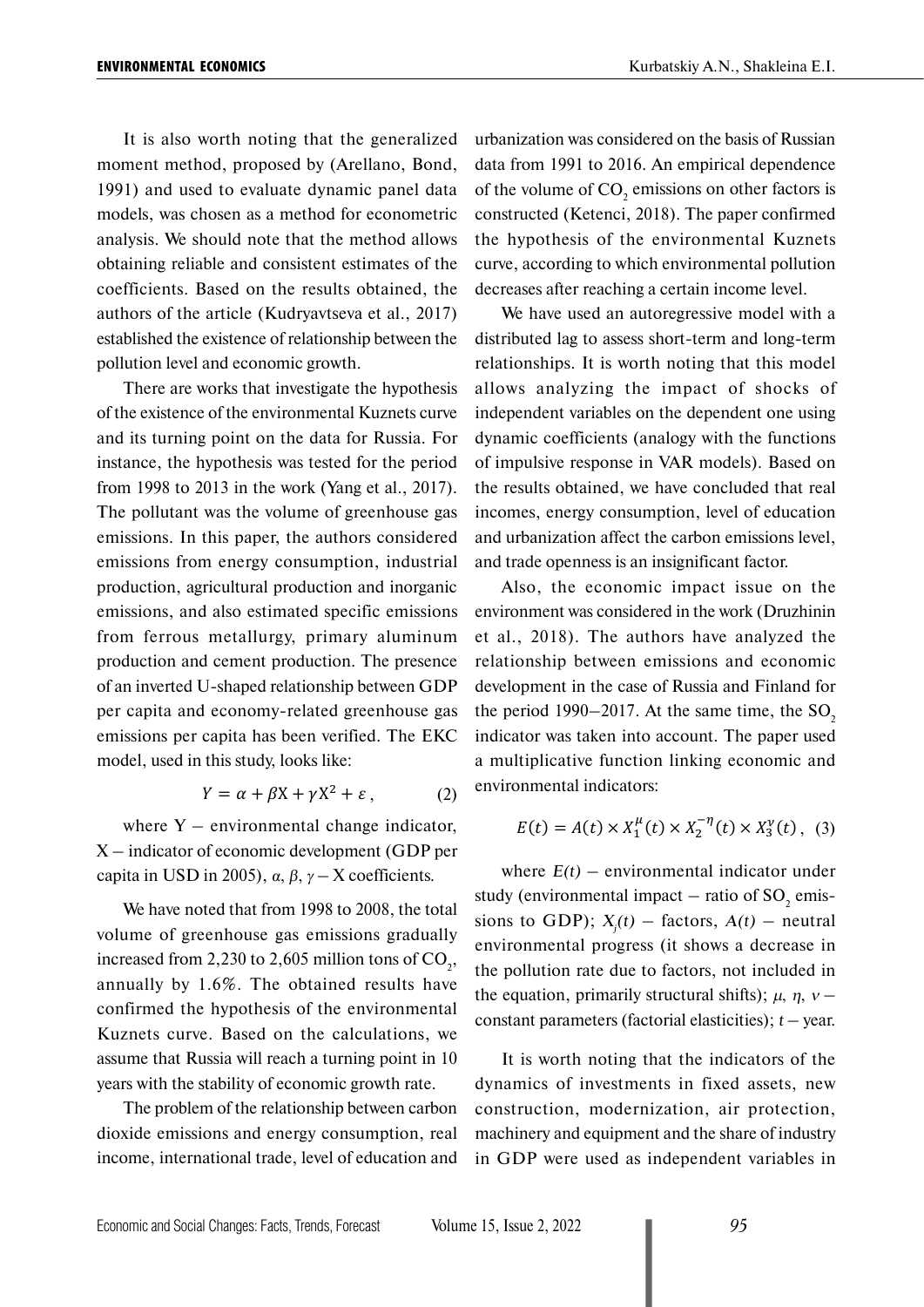It is also worth noting that the generalized moment method, proposed by (Arellano, Bond, 1991) and used to evaluate dynamic panel data models, was chosen as a method for econometric analysis. We should note that the method allows obtaining reliable and consistent estimates of the coefficients. Based on the results obtained, the authors of the article (Kudryavtseva et al., 2017) established the existence of relationship between the pollution level and economic growth.

There are works that investigate the hypothesis of the existence of the environmental Kuznets curve and its turning point on the data for Russia. For instance, the hypothesis was tested for the period from 1998 to 2013 in the work (Yang et al., 2017). The pollutant was the volume of greenhouse gas emissions. In this paper, the authors considered emissions from energy consumption, industrial production, agricultural production and inorganic emissions, and also estimated specific emissions from ferrous metallurgy, primary aluminum production and cement production. The presence of an inverted U-shaped relationship between GDP per capita and economy-related greenhouse gas emissions per capita has been verified. The EKC model, used in this study, looks like:

$$
Y = \alpha + \beta X + \gamma X^2 + \varepsilon \,, \tag{2}
$$

where  $Y$  – environmental change indicator, X *–* indicator of economic development (GDP per capita in USD in 2005),  $\alpha$ ,  $\beta$ ,  $\gamma$  – X coefficients.

We have noted that from 1998 to 2008, the total volume of greenhouse gas emissions gradually increased from 2,230 to 2,605 million tons of  $CO<sub>2</sub>$ , annually by 1.6%. The obtained results have confirmed the hypothesis of the environmental Kuznets curve. Based on the calculations, we assume that Russia will reach a turning point in 10 years with the stability of economic growth rate.

The problem of the relationship between carbon dioxide emissions and energy consumption, real income, international trade, level of education and urbanization was considered on the basis of Russian data from 1991 to 2016. An empirical dependence of the volume of  $CO_2$  emissions on other factors is constructed (Ketenci, 2018). The paper confirmed the hypothesis of the environmental Kuznets curve, according to which environmental pollution decreases after reaching a certain income level.

We have used an autoregressive model with a distributed lag to assess short-term and long-term relationships. It is worth noting that this model allows analyzing the impact of shocks of independent variables on the dependent one using dynamic coefficients (analogy with the functions of impulsive response in VAR models). Based on the results obtained, we have concluded that real incomes, energy consumption, level of education and urbanization affect the carbon emissions level, and trade openness is an insignificant factor.

Also, the economic impact issue on the environment was considered in the work (Druzhinin et al., 2018). The authors have analyzed the relationship between emissions and economic development in the case of Russia and Finland for the period  $1990-2017$ . At the same time, the SO<sub>2</sub> indicator was taken into account. The paper used a multiplicative function linking economic and environmental indicators:

$$
E(t) = A(t) \times X_1^{\mu}(t) \times X_2^{-\eta}(t) \times X_3^{\nu}(t), \quad (3)
$$

where  $E(t)$  – environmental indicator under study (environmental impact  $-$  ratio of SO<sub>2</sub> emissions to GDP);  $X_j(t)$  – factors,  $A(t)$  – neutral environmental progress (it shows a decrease in the pollution rate due to factors, not included in the equation, primarily structural shifts);  $\mu$ ,  $\eta$ ,  $\nu$  – constant parameters (factorial elasticities);  $t$  – year.

It is worth noting that the indicators of the dynamics of investments in fixed assets, new construction, modernization, air protection, machinery and equipment and the share of industry in GDP were used as independent variables in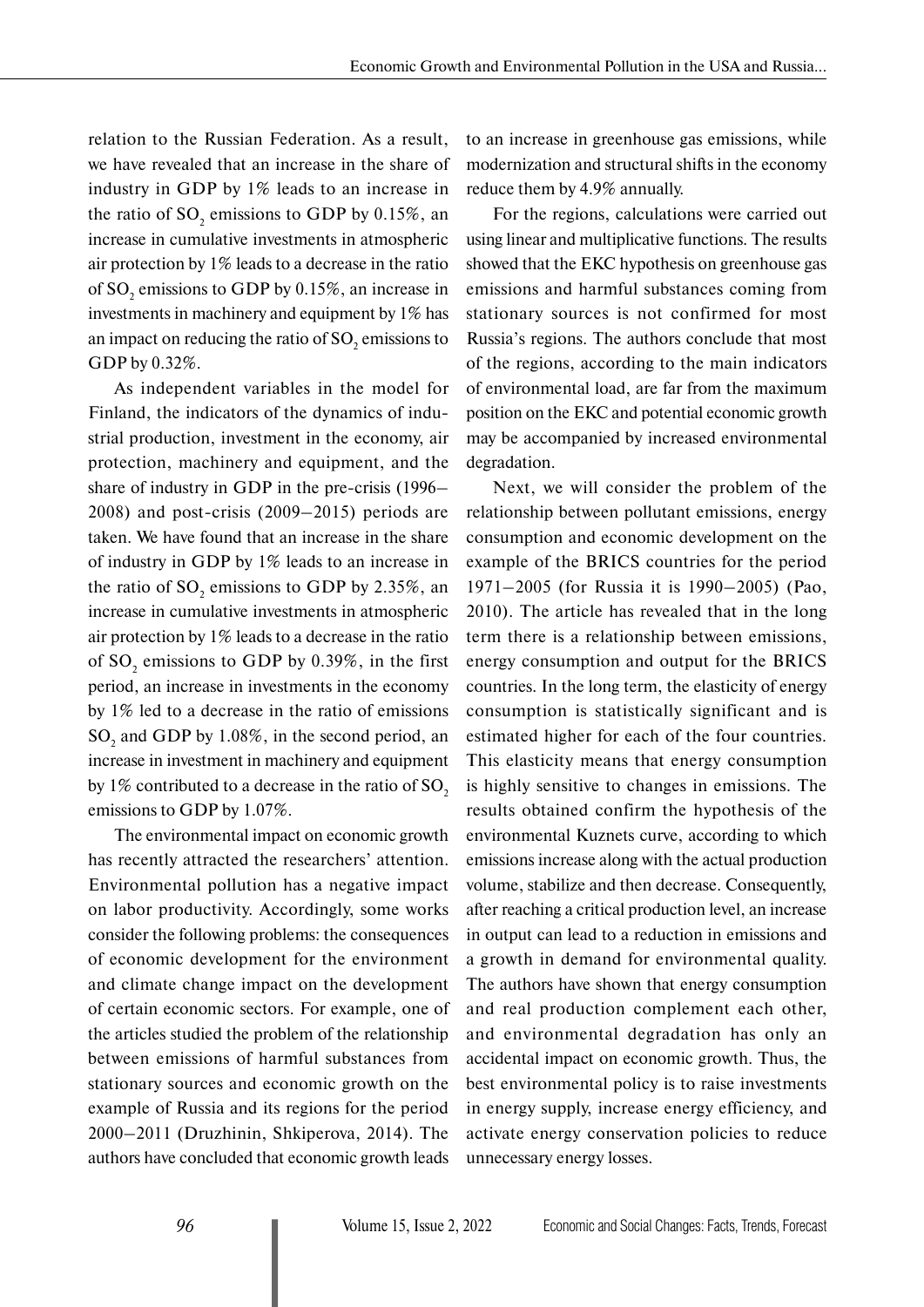relation to the Russian Federation. As a result, we have revealed that an increase in the share of industry in GDP by 1% leads to an increase in the ratio of  $SO_2$  emissions to GDP by 0.15%, an increase in cumulative investments in atmospheric air protection by 1% leads to a decrease in the ratio of SO<sub>2</sub> emissions to GDP by 0.15%, an increase in investments in machinery and equipment by 1% has an impact on reducing the ratio of  $\mathrm{SO}_2$  emissions to GDP by 0.32%.

As independent variables in the model for Finland, the indicators of the dynamics of industrial production, investment in the economy, air protection, machinery and equipment, and the share of industry in GDP in the pre-crisis (1996– 2008) and post-crisis (2009–2015) periods are taken. We have found that an increase in the share of industry in GDP by 1% leads to an increase in the ratio of  $SO_2$  emissions to GDP by 2.35%, an increase in cumulative investments in atmospheric air protection by 1% leads to a decrease in the ratio of  $SO_2$  emissions to GDP by 0.39%, in the first period, an increase in investments in the economy by 1% led to a decrease in the ratio of emissions  $SO_2$  and GDP by 1.08%, in the second period, an increase in investment in machinery and equipment by 1% contributed to a decrease in the ratio of  $SO<sub>2</sub>$ emissions to GDP by 1.07%.

The environmental impact on economic growth has recently attracted the researchers' attention. Environmental pollution has a negative impact on labor productivity. Accordingly, some works consider the following problems: the consequences of economic development for the environment and climate change impact on the development of certain economic sectors. For example, one of the articles studied the problem of the relationship between emissions of harmful substances from stationary sources and economic growth on the example of Russia and its regions for the period 2000–2011 (Druzhinin, Shkiperova, 2014). The authors have concluded that economic growth leads

to an increase in greenhouse gas emissions, while modernization and structural shifts in the economy reduce them by 4.9% annually.

For the regions, calculations were carried out using linear and multiplicative functions. The results showed that the EKC hypothesis on greenhouse gas emissions and harmful substances coming from stationary sources is not confirmed for most Russia's regions. The authors conclude that most of the regions, according to the main indicators of environmental load, are far from the maximum position on the EKC and potential economic growth may be accompanied by increased environmental degradation.

Next, we will consider the problem of the relationship between pollutant emissions, energy consumption and economic development on the example of the BRICS countries for the period 1971–2005 (for Russia it is 1990–2005) (Pao, 2010). The article has revealed that in the long term there is a relationship between emissions, energy consumption and output for the BRICS countries. In the long term, the elasticity of energy consumption is statistically significant and is estimated higher for each of the four countries. This elasticity means that energy consumption is highly sensitive to changes in emissions. The results obtained confirm the hypothesis of the environmental Kuznets curve, according to which emissions increase along with the actual production volume, stabilize and then decrease. Consequently, after reaching a critical production level, an increase in output can lead to a reduction in emissions and a growth in demand for environmental quality. The authors have shown that energy consumption and real production complement each other, and environmental degradation has only an accidental impact on economic growth. Thus, the best environmental policy is to raise investments in energy supply, increase energy efficiency, and activate energy conservation policies to reduce unnecessary energy losses.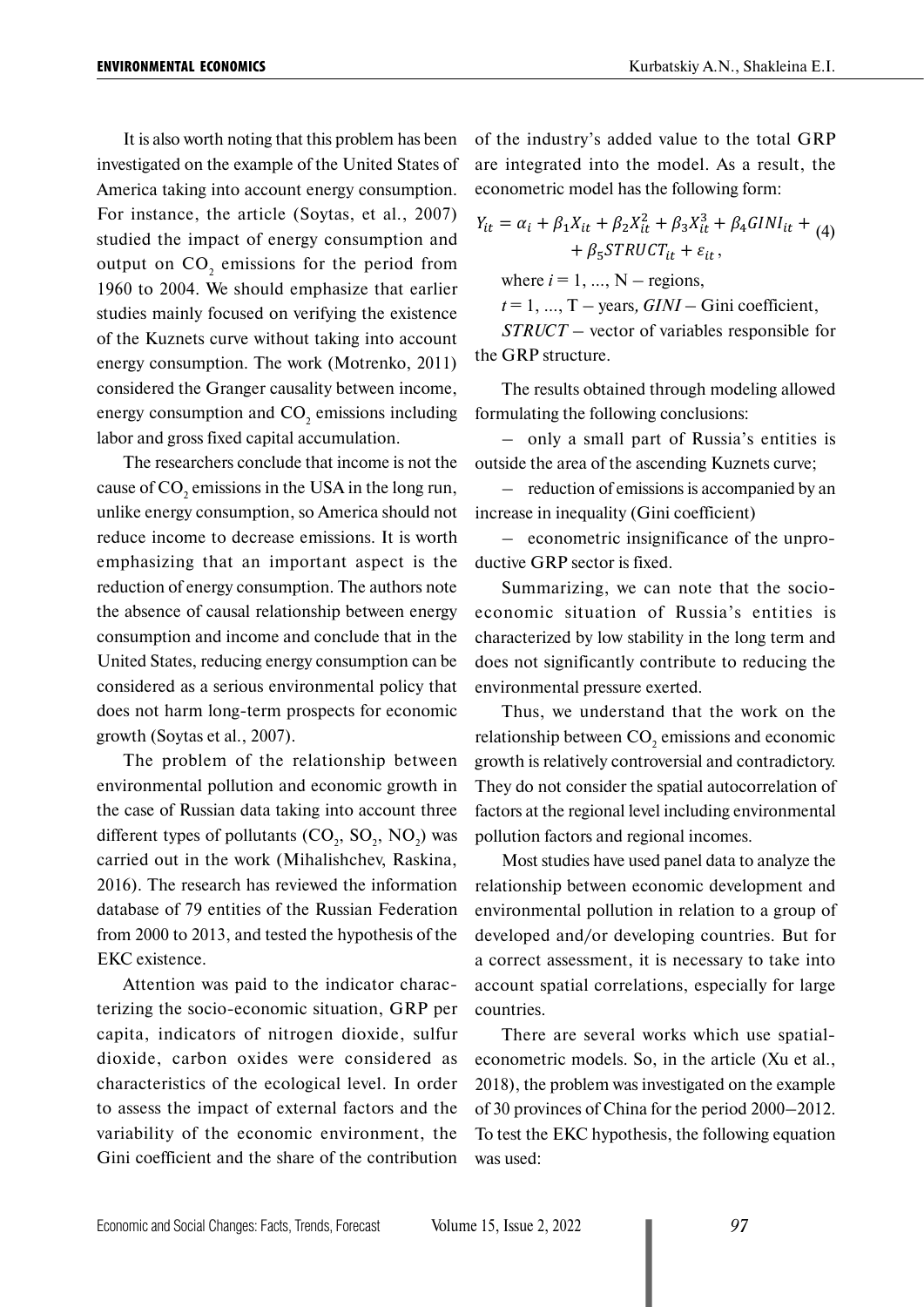It is also worth noting that this problem has been investigated on the example of the United States of America taking into account energy consumption. For instance, the article (Soytas, et al., 2007) studied the impact of energy consumption and output on  $CO_2$  emissions for the period from 1960 to 2004. We should emphasize that earlier studies mainly focused on verifying the existence of the Kuznets curve without taking into account energy consumption. The work (Motrenko, 2011) considered the Granger causality between income, energy consumption and  $CO<sub>2</sub>$  emissions including labor and gross fixed capital accumulation.

The researchers conclude that income is not the cause of  $CO_2$  emissions in the USA in the long run, unlike energy consumption, so America should not reduce income to decrease emissions. It is worth emphasizing that an important aspect is the reduction of energy consumption. The authors note the absence of causal relationship between energy consumption and income and conclude that in the United States, reducing energy consumption can be considered as a serious environmental policy that does not harm long-term prospects for economic growth (Soytas et al., 2007).

The problem of the relationship between environmental pollution and economic growth in the case of Russian data taking into account three different types of pollutants  $(CO_2, SO_2, NO_2)$  was carried out in the work (Mihalishchev, Raskina, 2016). The research has reviewed the information database of 79 entities of the Russian Federation from 2000 to 2013, and tested the hypothesis of the EKC existence.

Attention was paid to the indicator characterizing the socio-economic situation, GRP per capita, indicators of nitrogen dioxide, sulfur dioxide, carbon oxides were considered as characteristics of the ecological level. In order to assess the impact of external factors and the variability of the economic environment, the Gini coefficient and the share of the contribution of the industry's added value to the total GRP are integrated into the model. As a result, the econometric model has the following form:

$$
Y_{it} = \alpha_i + \beta_1 X_{it} + \beta_2 X_{it}^2 + \beta_3 X_{it}^3 + \beta_4 GINI_{it} + (4) + \beta_5 STRUCT_{it} + \varepsilon_{it},
$$
  
where  $i = 1, ..., N$  – regions,

 $t = 1, ..., T - years$ ,  $GINI - Gini$  coefficient,

*STRUCT* – vector of variables responsible for the GRP structure.

The results obtained through modeling allowed formulating the following conclusions:

– only a small part of Russia's entities is outside the area of the ascending Kuznets curve;

– reduction of emissions is accompanied by an increase in inequality (Gini coefficient)

– econometric insignificance of the unproductive GRP sector is fixed.

Summarizing, we can note that the socioeconomic situation of Russia's entities is characterized by low stability in the long term and does not significantly contribute to reducing the environmental pressure exerted.

Thus, we understand that the work on the relationship between  $CO<sub>2</sub>$  emissions and economic growth is relatively controversial and contradictory. They do not consider the spatial autocorrelation of factors at the regional level including environmental pollution factors and regional incomes.

Most studies have used panel data to analyze the relationship between economic development and environmental pollution in relation to a group of developed and/or developing countries. But for a correct assessment, it is necessary to take into account spatial correlations, especially for large countries.

There are several works which use spatialeconometric models. So, in the article (Xu et al., 2018), the problem was investigated on the example of 30 provinces of China for the period 2000–2012. To test the EKC hypothesis, the following equation was used: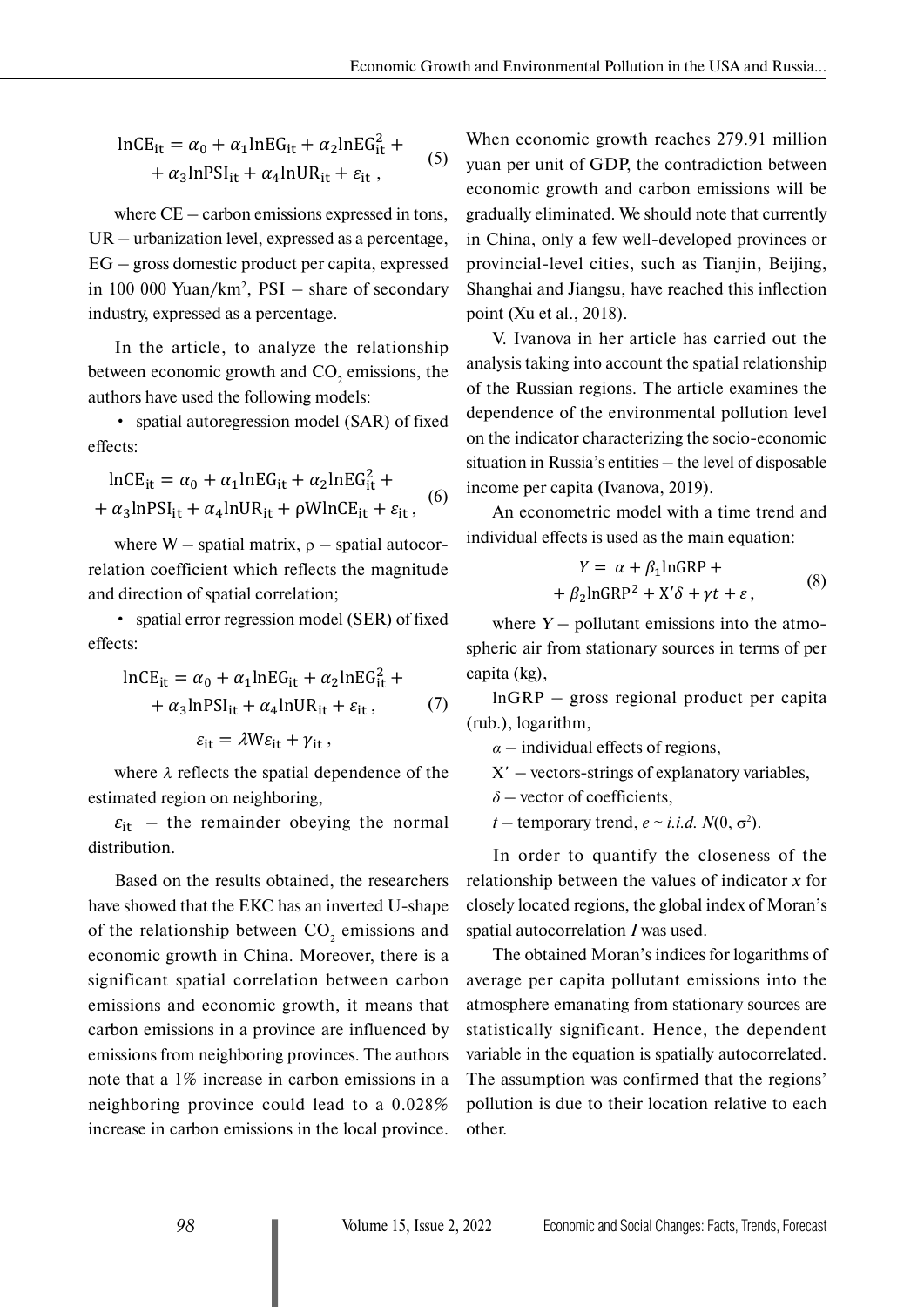$$
\ln CE_{it} = \alpha_0 + \alpha_1 \ln EG_{it} + \alpha_2 \ln EG_{it}^2 +
$$
  
+  $\alpha_3 \ln PSI_{it} + \alpha_4 \ln UR_{it} + \varepsilon_{it}$ , (5)

where CE – carbon emissions expressed in tons, UR – urbanization level, expressed as a percentage, EG – gross domestic product per capita, expressed in 100 000 Yuan/ $km^2$ ,  $PSI - share$  of secondary industry, expressed as a percentage.

In the article, to analyze the relationship between economic growth and  $CO_2$  emissions, the authors have used the following models:

• spatial autoregression model (SAR) of fixed effects:

$$
\ln CE_{it} = \alpha_0 + \alpha_1 \ln EG_{it} + \alpha_2 \ln EG_{it}^2 +
$$
  
+  $\alpha_3 \ln PSI_{it} + \alpha_4 \ln UR_{it} + \rho WlnCE_{it} + \varepsilon_{it}$ , (6)

where  $W$  – spatial matrix,  $\rho$  – spatial autocorrelation coefficient which reflects the magnitude and direction of spatial correlation;

• spatial error regression model (SER) of fixed effects:

$$
\ln CE_{it} = \alpha_0 + \alpha_1 \ln EG_{it} + \alpha_2 \ln EG_{it}^2 +
$$
  
+  $\alpha_3 \ln PSI_{it} + \alpha_4 \ln UR_{it} + \varepsilon_{it}$ , (7)  
 $\varepsilon_{it} = \lambda W \varepsilon_{it} + \gamma_{it}$ ,

where  $\lambda$  reflects the spatial dependence of the  $\epsilon$  estimated region on neighboring,

> $\varepsilon_{it}$  – the remainder obeying the normal distribution.

> Based on the results obtained, the researchers have showed that the EKC has an inverted U-shape of the relationship between  $CO_2$  emissions and economic growth in China. Moreover, there is a significant spatial correlation between carbon emissions and economic growth, it means that carbon emissions in a province are influenced by emissions from neighboring provinces. The authors note that a 1% increase in carbon emissions in a neighboring province could lead to a 0.028% increase in carbon emissions in the local province.

When economic growth reaches 279.91 million yuan per unit of GDP, the contradiction between economic growth and carbon emissions will be gradually eliminated. We should note that currently in China, only a few well-developed provinces or provincial-level cities, such as Tianjin, Beijing, Shanghai and Jiangsu, have reached this inflection point (Xu et al., 2018).

V. Ivanova in her article has carried out the analysis taking into account the spatial relationship of the Russian regions. The article examines the dependence of the environmental pollution level on the indicator characterizing the socio-economic situation in Russia's entities – the level of disposable income per capita (Ivanova, 2019).

An econometric model with a time trend and individual effects is used as the main equation:

$$
Y = \alpha + \beta_1 \ln \text{GRP} ++ \beta_2 \ln \text{GRP}^2 + X'\delta + \gamma t + \varepsilon,
$$
 (8)

where  $Y$  – pollutant emissions into the atmospheric air from stationary sources in terms of per capita (kg),

lnGRP – gross regional product per capita (rub.), logarithm,

*α* – individual effects of regions,

X*'* – vectors-strings of explanatory variables,

*δ* – vector of coefficients,

*t* – temporary trend,  $e \sim i.i.d. N(0, \sigma^2)$ .

In order to quantify the closeness of the relationship between the values of indicator *x* for closely located regions, the global index of Moran's spatial autocorrelation *I* was used.

The obtained Moran's indices for logarithms of average per capita pollutant emissions into the atmosphere emanating from stationary sources are statistically significant. Hence, the dependent variable in the equation is spatially autocorrelated. The assumption was confirmed that the regions' pollution is due to their location relative to each other.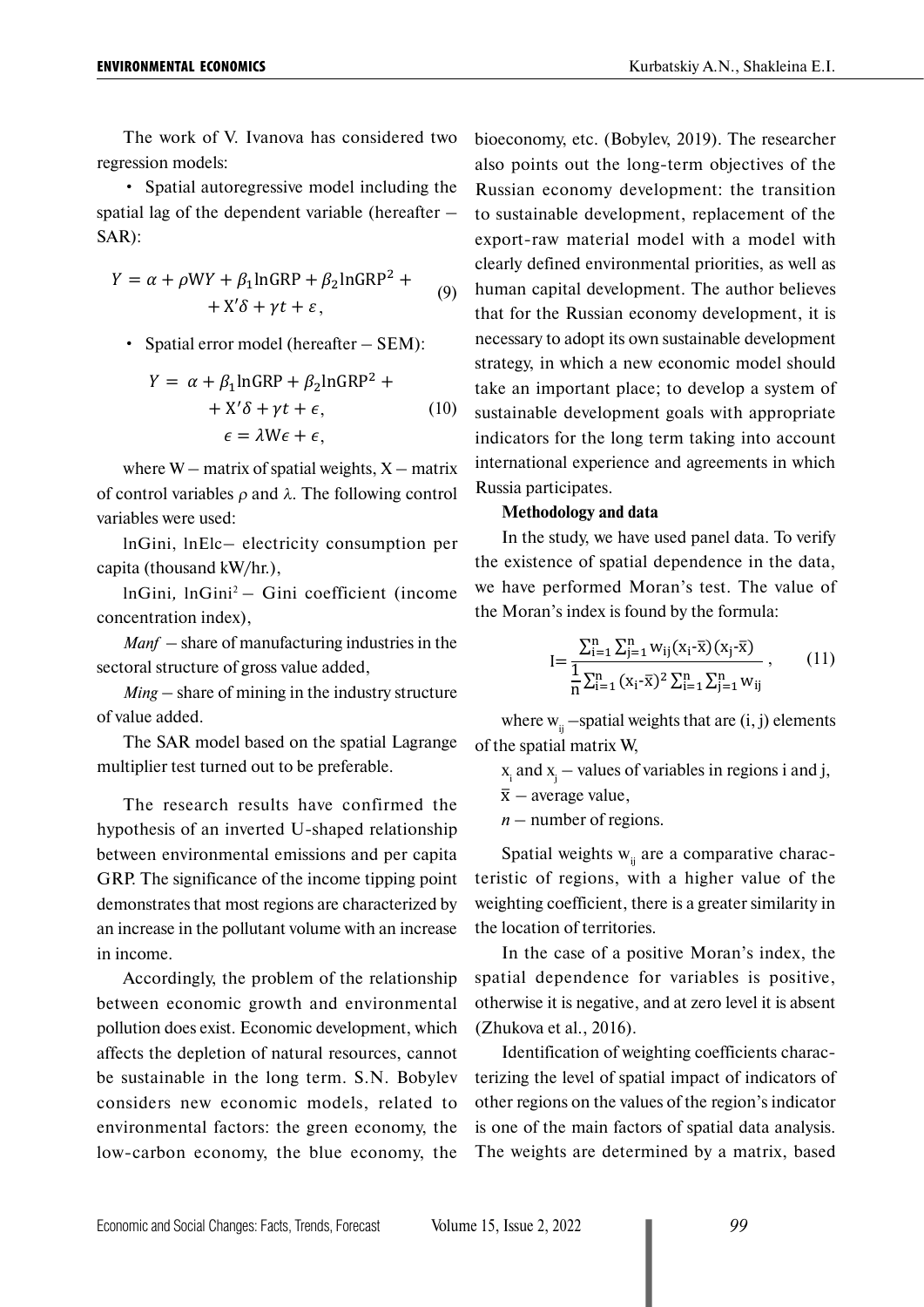The work of V. Ivanova has considered two regression models:

• Spatial autoregressive model including the spatial lag of the dependent variable (hereafter – SAR):

$$
Y = \alpha + \rho WY + \beta_1 \ln \text{GRP} + \beta_2 \ln \text{GRP}^2 +
$$
  
+ X' \delta + \gamma t + \varepsilon, (9)

• Spatial error model (hereafter – SEM):

$$
Y = \alpha + \beta_1 \ln \text{GRP} + \beta_2 \ln \text{GRP}^2 +
$$
  
+ X' \delta + \gamma t + \epsilon, (10)  

$$
\epsilon = \lambda W \epsilon + \epsilon,
$$

where  $W$  – matrix of spatial weights,  $X$  – matrix of control variables  $ρ$  and  $λ$ . The following control variables were used:

lnGini, lnElc– electricity consumption per capita (thousand kW/hr.),

lnGini*,* lnGini2 – Gini coefficient (income concentration index),

*Manf* – share of manufacturing industries in the sectoral structure of gross value added,

*Ming* – share of mining in the industry structure of value added.

The SAR model based on the spatial Lagrange multiplier test turned out to be preferable.

The research results have confirmed the hypothesis of an inverted U-shaped relationship between environmental emissions and per capita GRP. The significance of the income tipping point demonstrates that most regions are characterized by an increase in the pollutant volume with an increase in income.

Accordingly, the problem of the relationship between economic growth and environmental pollution does exist. Economic development, which affects the depletion of natural resources, cannot be sustainable in the long term. S.N. Bobylev considers new economic models, related to environmental factors: the green economy, the low-carbon economy, the blue economy, the bioeconomy, etc. (Bobylev, 2019). The researcher also points out the long-term objectives of the Russian economy development: the transition to sustainable development, replacement of the export-raw material model with a model with clearly defined environmental priorities, as well as human capital development. The author believes that for the Russian economy development, it is necessary to adopt its own sustainable development strategy, in which a new economic model should take an important place; to develop a system of sustainable development goals with appropriate indicators for the long term taking into account international experience and agreements in which Russia participates.

#### **Methodology and data**

In the study, we have used panel data. To verify the existence of spatial dependence in the data, we have performed Moran's test. The value of the Moran's index is found by the formula:

$$
I = \frac{\sum_{i=1}^{n} \sum_{j=1}^{n} w_{ij} (x_i - \bar{x}) (x_j - \bar{x})}{\frac{1}{n} \sum_{i=1}^{n} (x_i - \bar{x})^2 \sum_{i=1}^{n} \sum_{j=1}^{n} w_{ij}},
$$
(11)

where  $w_{ii}$  –spatial weights that are (i, j) elements of the spatial matrix W,

xi and xj  *–* values of variables in regions i and j,

 $\bar{x}$  – average value.

*n* – number of regions.

Spatial weights  $w_{ii}$  are a comparative characteristic of regions, with a higher value of the weighting coefficient, there is a greater similarity in the location of territories.

In the case of a positive Moran's index, the spatial dependence for variables is positive, otherwise it is negative, and at zero level it is absent (Zhukova et al., 2016).

Identification of weighting coefficients characterizing the level of spatial impact of indicators of other regions on the values of the region's indicator is one of the main factors of spatial data analysis. The weights are determined by a matrix, based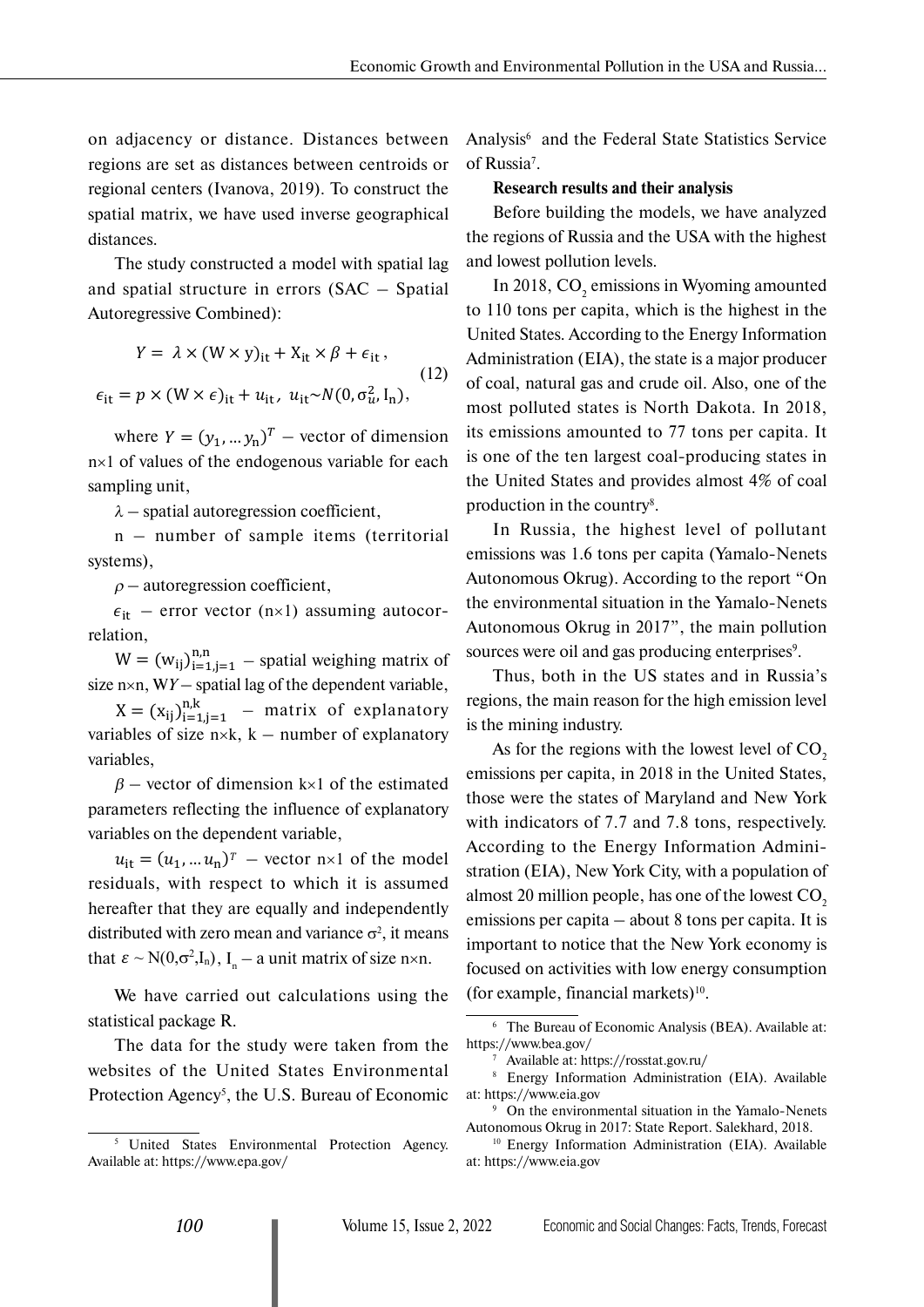on adjacency or distance. Distances between regions are set as distances between centroids or regional centers (Ivanova, 2019). To construct the spatial matrix, we have used inverse geographical distances.

The study constructed a model with spatial lag and spatial structure in errors (SAC – Spatial Autoregressive Combined):

$$
Y = \lambda \times (W \times y)_{it} + X_{it} \times \beta + \epsilon_{it},
$$
  
\n
$$
\epsilon_{it} = p \times (W \times \epsilon)_{it} + u_{it}, u_{it} \sim N(0, \sigma_u^2, I_n),
$$
\n(12)

where  $Y = (y_1, ..., y_n)^T$  – vector of dimension n×1 of values of the endogenous variable for each sampling unit,

 $\lambda$  – spatial autoregression coefficient,

n – number of sample items (territorial systems),

 $\rho$  – autoregression coefficient,

 $\epsilon_{it}$  – error vector (n×1) assuming autocorrelation,

 $W = (w_{ij})_{i=1,j=1}^{n,n}$  – spatial weighing matrix of size n×n, W*Y* – spatial lag of the dependent variable,

 $X = (x_{ij})_{i=1,j=1}^{n,k}$  – matrix of explanatory variables of size  $n \times k$ ,  $k$  – number of explanatory variables,

 $\beta$  – vector of dimension k×1 of the estimated parameters reflecting the influence of explanatory variables on the dependent variable,

 $u_{it} = (u_1, ... u_n)^T$  – vector  $n \times 1$  of the model residuals, with respect to which it is assumed hereafter that they are equally and independently distributed with zero mean and variance  $\sigma^2$ , it means that  $\varepsilon \sim N(0,\sigma^2,I_n)$ ,  $I_n - a$  unit matrix of size n×n.

We have carried out calculations using the statistical package R.

The data for the study were taken from the websites of the United States Environmental Protection Agency<sup>5</sup>, the U.S. Bureau of Economic Analysis<sup>6</sup> and the Federal State Statistics Service of Russia<sup>7</sup>.

#### **Research results and their analysis**

Before building the models, we have analyzed the regions of Russia and the USA with the highest and lowest pollution levels.

In 2018,  $CO<sub>2</sub>$  emissions in Wyoming amounted to 110 tons per capita, which is the highest in the United States. According to the Energy Information Administration (EIA), the state is a major producer of coal, natural gas and crude oil. Also, one of the most polluted states is North Dakota. In 2018, its emissions amounted to 77 tons per capita. It is one of the ten largest coal-producing states in the United States and provides almost 4% of coal production in the country<sup>8</sup>.

In Russia, the highest level of pollutant emissions was 1.6 tons per capita (Yamalo-Nenets Autonomous Okrug). According to the report "On the environmental situation in the Yamalo-Nenets Autonomous Okrug in 2017", the main pollution sources were oil and gas producing enterprises<sup>9</sup>.

Thus, both in the US states and in Russia's regions, the main reason for the high emission level is the mining industry.

As for the regions with the lowest level of  $CO<sub>2</sub>$ emissions per capita, in 2018 in the United States, those were the states of Maryland and New York with indicators of 7.7 and 7.8 tons, respectively. According to the Energy Information Administration (EIA), New York City, with a population of almost 20 million people, has one of the lowest  $CO<sub>2</sub>$ emissions per capita – about 8 tons per capita. It is important to notice that the New York economy is focused on activities with low energy consumption (for example, financial markets) $10$ .

<sup>&</sup>lt;sup>5</sup> United States Environmental Protection Agency. Available at:<https://www.epa.gov/>

<sup>6</sup> The Bureau of Economic Analysis (BEA). Available at: <https://www.bea.gov/>

<sup>7</sup> Available at:<https://rosstat.gov.ru/>

<sup>8</sup> Energy Information Administration (EIA). Available at:<https://www.eia.gov>

<sup>9</sup> On the environmental situation in the Yamalo-Nenets Autonomous Okrug in 2017: State Report. Salekhard, 2018. 10 Energy Information Administration (EIA). Available

at:<https://www.eia.gov>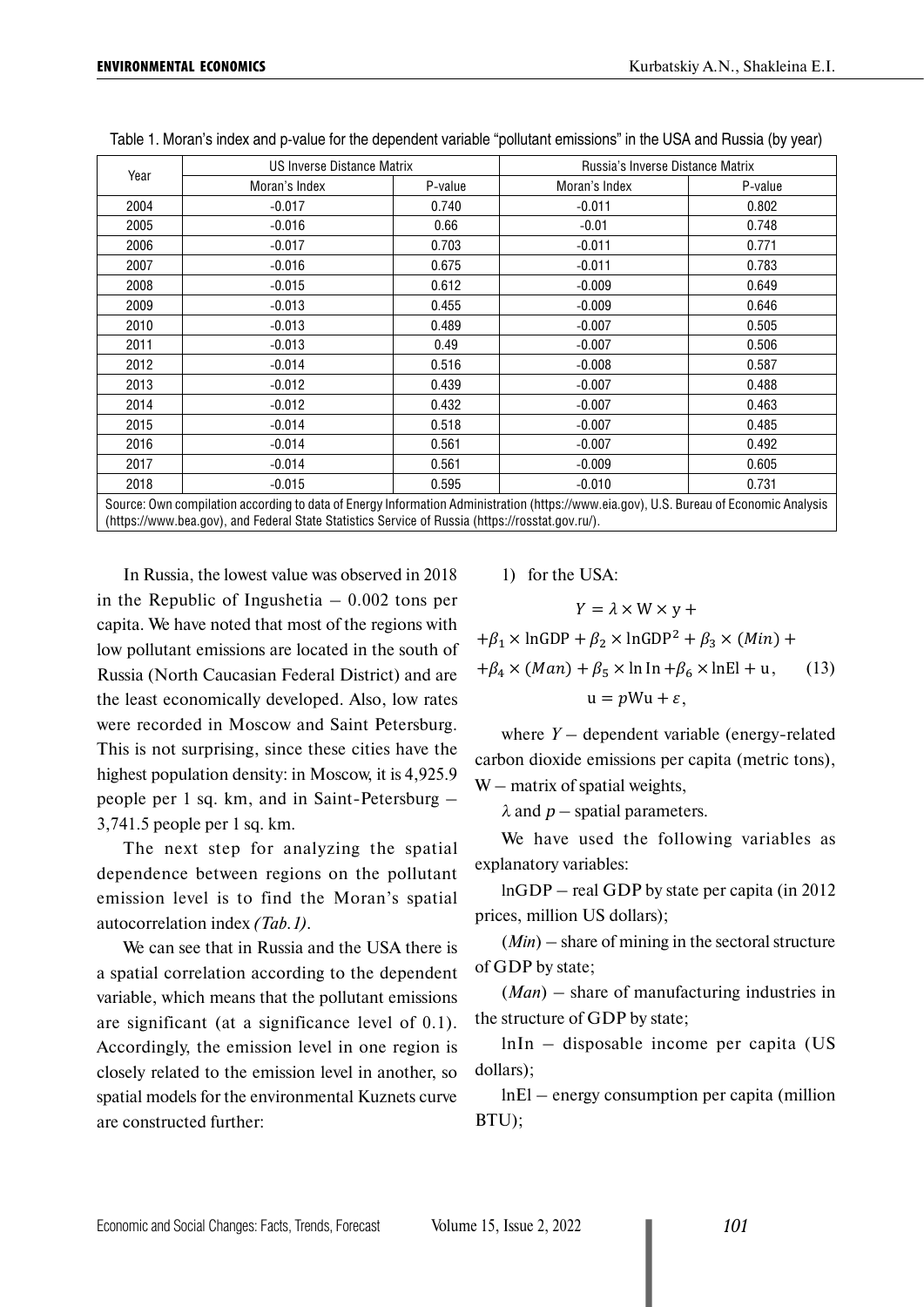| Year                                                                                                                                   | US Inverse Distance Matrix |         | Russia's Inverse Distance Matrix |         |  |  |  |
|----------------------------------------------------------------------------------------------------------------------------------------|----------------------------|---------|----------------------------------|---------|--|--|--|
|                                                                                                                                        | Moran's Index              | P-value | Moran's Index                    | P-value |  |  |  |
| 2004                                                                                                                                   | $-0.017$                   | 0.740   | $-0.011$                         | 0.802   |  |  |  |
| 2005                                                                                                                                   | $-0.016$                   | 0.66    | $-0.01$                          | 0.748   |  |  |  |
| 2006                                                                                                                                   | $-0.017$                   | 0.703   | $-0.011$                         | 0.771   |  |  |  |
| 2007                                                                                                                                   | $-0.016$                   | 0.675   | $-0.011$                         | 0.783   |  |  |  |
| 2008                                                                                                                                   | $-0.015$                   | 0.612   | $-0.009$                         | 0.649   |  |  |  |
| 2009                                                                                                                                   | $-0.013$                   | 0.455   | $-0.009$                         | 0.646   |  |  |  |
| 2010                                                                                                                                   | $-0.013$                   | 0.489   | $-0.007$                         | 0.505   |  |  |  |
| 2011                                                                                                                                   | $-0.013$                   | 0.49    | $-0.007$                         | 0.506   |  |  |  |
| 2012                                                                                                                                   | $-0.014$                   | 0.516   | $-0.008$                         | 0.587   |  |  |  |
| 2013                                                                                                                                   | $-0.012$                   | 0.439   | $-0.007$                         | 0.488   |  |  |  |
| 2014                                                                                                                                   | $-0.012$                   | 0.432   | $-0.007$                         | 0.463   |  |  |  |
| 2015                                                                                                                                   | $-0.014$                   | 0.518   | $-0.007$                         | 0.485   |  |  |  |
| 2016                                                                                                                                   | $-0.014$                   | 0.561   | $-0.007$                         | 0.492   |  |  |  |
| 2017                                                                                                                                   | $-0.014$                   | 0.561   | $-0.009$                         | 0.605   |  |  |  |
| 2018                                                                                                                                   | $-0.015$                   | 0.595   | $-0.010$                         | 0.731   |  |  |  |
| Source: Own compilation according to data of Energy Information Administration (https://www.eia.gov), U.S. Bureau of Economic Analysis |                            |         |                                  |         |  |  |  |

|  | Table 1. Moran's index and p-value for the dependent variable "pollutant emissions" in the USA and Russia (by year) |
|--|---------------------------------------------------------------------------------------------------------------------|
|--|---------------------------------------------------------------------------------------------------------------------|

Source: Own compilation according to data of Energy Information Administration [\(https://www.eia.gov\)](https://www.eia.gov), U.S. Bureau of Economic Analysis ([https://www.bea.gov\)](https://www.bea.gov), and Federal State Statistics Service of Russia ([https://rosstat.gov.ru/\)](http://www.gks.ru/).

In Russia, the lowest value was observed in 2018 in the Republic of Ingushetia  $-0.002$  tons per capita. We have noted that most of the regions with low pollutant emissions are located in the south of Russia (North Caucasian Federal District) and are the least economically developed. Also, low rates were recorded in Moscow and Saint Petersburg. This is not surprising, since these cities have the highest population density: in Moscow, it is 4,925.9 people per 1 sq. km, and in Saint-Petersburg – 3,741.5 people per 1 sq. km.

The next step for analyzing the spatial dependence between regions on the pollutant emission level is to find the Moran's spatial autocorrelation index *(Tab.1)*.

We can see that in Russia and the USA there is a spatial correlation according to the dependent variable, which means that the pollutant emissions are significant (at a significance level of 0.1). Accordingly, the emission level in one region is closely related to the emission level in another, so spatial models for the environmental Kuznets curve are constructed further:

1) for the USA:

$$
Y = \lambda \times W \times y +
$$

 $+\beta_1 \times \ln GDP + \beta_2 \times \ln GDP^2 + \beta_3 \times (Min) +$ +4 × () + 5 × ln In +6 × lnEl + u ,  $u = pWu + \varepsilon,$ (13)

where *Y –* dependent variable (energy-related carbon dioxide emissions per capita (metric tons),  $W$  – matrix of spatial weights,

 $\lambda$  and  $p$  – spatial parameters.

We have used the following variables as explanatory variables:

lnGDP – real GDP by state per capita (in 2012 prices, million US dollars);

(*Min*) – share of mining in the sectoral structure of GDP by state;

(*Man*) – share of manufacturing industries in the structure of GDP by state;

lnIn – disposable income per capita (US dollars);

lnEl – energy consumption per capita (million BTU);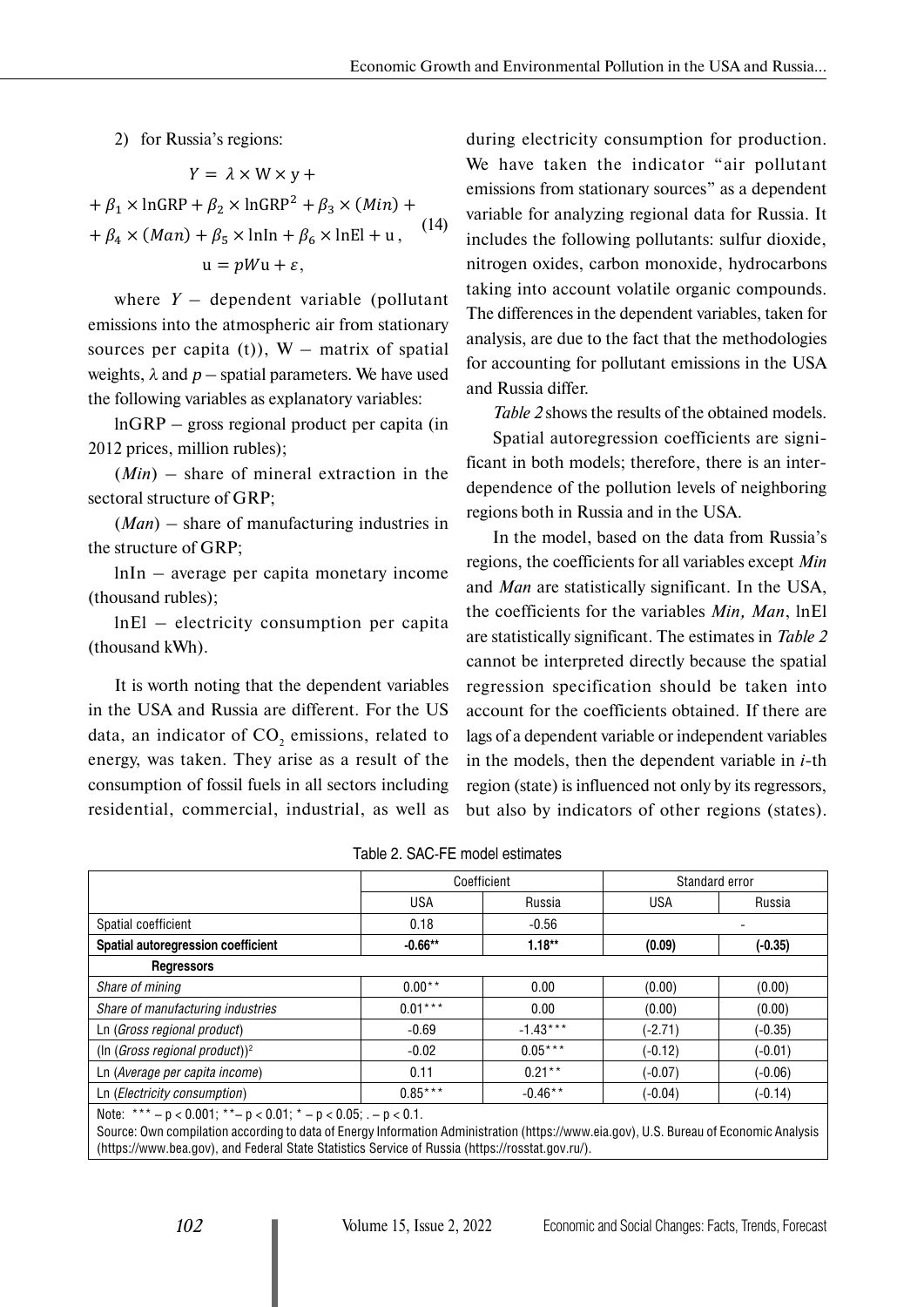2) for Russia's regions:

$$
Y = \lambda \times W \times y +
$$
  
+  $\beta_1 \times \ln \text{GRP} + \beta_2 \times \ln \text{GRP}^2 + \beta_3 \times (Min) +$   
+  $\beta_4 \times (Man) + \beta_5 \times \ln \text{Ln} + \beta_6 \times \ln \text{EL} + u,$  (14)  

$$
u = pWu + \varepsilon,
$$

where  $Y -$  dependent variable (pollutant emissions into the atmospheric air from stationary sources per capita (t)),  $W -$  matrix of spatial weights,  $\lambda$  and  $p$  – spatial parameters. We have used the following variables as explanatory variables:

lnGRP – gross regional product per capita (in 2012 prices, million rubles);

(*Min*) – share of mineral extraction in the sectoral structure of GRP;

(*Man*) – share of manufacturing industries in the structure of GRP;

lnIn – average per capita monetary income (thousand rubles);

lnEl – electricity consumption per capita (thousand kWh).

It is worth noting that the dependent variables in the USA and Russia are different. For the US data, an indicator of  $CO_2$  emissions, related to energy, was taken. They arise as a result of the consumption of fossil fuels in all sectors including residential, commercial, industrial, as well as

during electricity consumption for production. We have taken the indicator "air pollutant emissions from stationary sources" as a dependent variable for analyzing regional data for Russia. It includes the following pollutants: sulfur dioxide, nitrogen oxides, carbon monoxide, hydrocarbons taking into account volatile organic compounds. The differences in the dependent variables, taken for analysis, are due to the fact that the methodologies for accounting for pollutant emissions in the USA and Russia differ.

*Table 2* shows the results of the obtained models. Spatial autoregression coefficients are significant in both models; therefore, there is an interdependence of the pollution levels of neighboring regions both in Russia and in the USA.

In the model, based on the data from Russia's regions, the coefficients for all variables except *Min* and *Man* are statistically significant. In the USA, the coefficients for the variables *Min, Man*, lnEl are statistically significant. The estimates in *Table 2* cannot be interpreted directly because the spatial regression specification should be taken into account for the coefficients obtained. If there are lags of a dependent variable or independent variables in the models, then the dependent variable in *i*-th region (state) is influenced not only by its regressors, but also by indicators of other regions (states).

|                                            | Coefficient |            | Standard error |           |
|--------------------------------------------|-------------|------------|----------------|-----------|
|                                            | <b>USA</b>  | Russia     | <b>USA</b>     | Russia    |
| Spatial coefficient                        | 0.18        | $-0.56$    |                |           |
| Spatial autoregression coefficient         | $-0.66**$   | $1.18**$   | (0.09)         | (-0.35)   |
| <b>Regressors</b>                          |             |            |                |           |
| Share of mining                            | $0.00**$    | 0.00       | (0.00)         | (0.00)    |
| Share of manufacturing industries          | $0.01***$   | 0.00       | (0.00)         | (0.00)    |
| Ln (Gross regional product)                | $-0.69$     | $-1.43***$ | $(-2.71)$      | $(-0.35)$ |
| (In (Gross regional product)) <sup>2</sup> | $-0.02$     | $0.05***$  | $(-0.12)$      | $(-0.01)$ |
| Ln (Average per capita income)             | 0.11        | $0.21***$  | $(-0.07)$      | $(-0.06)$ |
| Ln (Electricity consumption)               | $0.85***$   | $-0.46**$  | $(-0.04)$      | $(-0.14)$ |

Table 2. SAC-FE model estimates

Note:  $*** - p < 0.001$ ;  $** - p < 0.01$ ;  $* - p < 0.05$ ; .  $- p < 0.1$ .

Source: Own compilation according to data of Energy Information Administration (<https://www.eia.gov>), U.S. Bureau of Economic Analysis [\(https://www.bea.gov\)](https://www.bea.gov), and Federal State Statistics Service of Russia [\(https://rosstat.gov.ru/](http://www.gks.ru/)).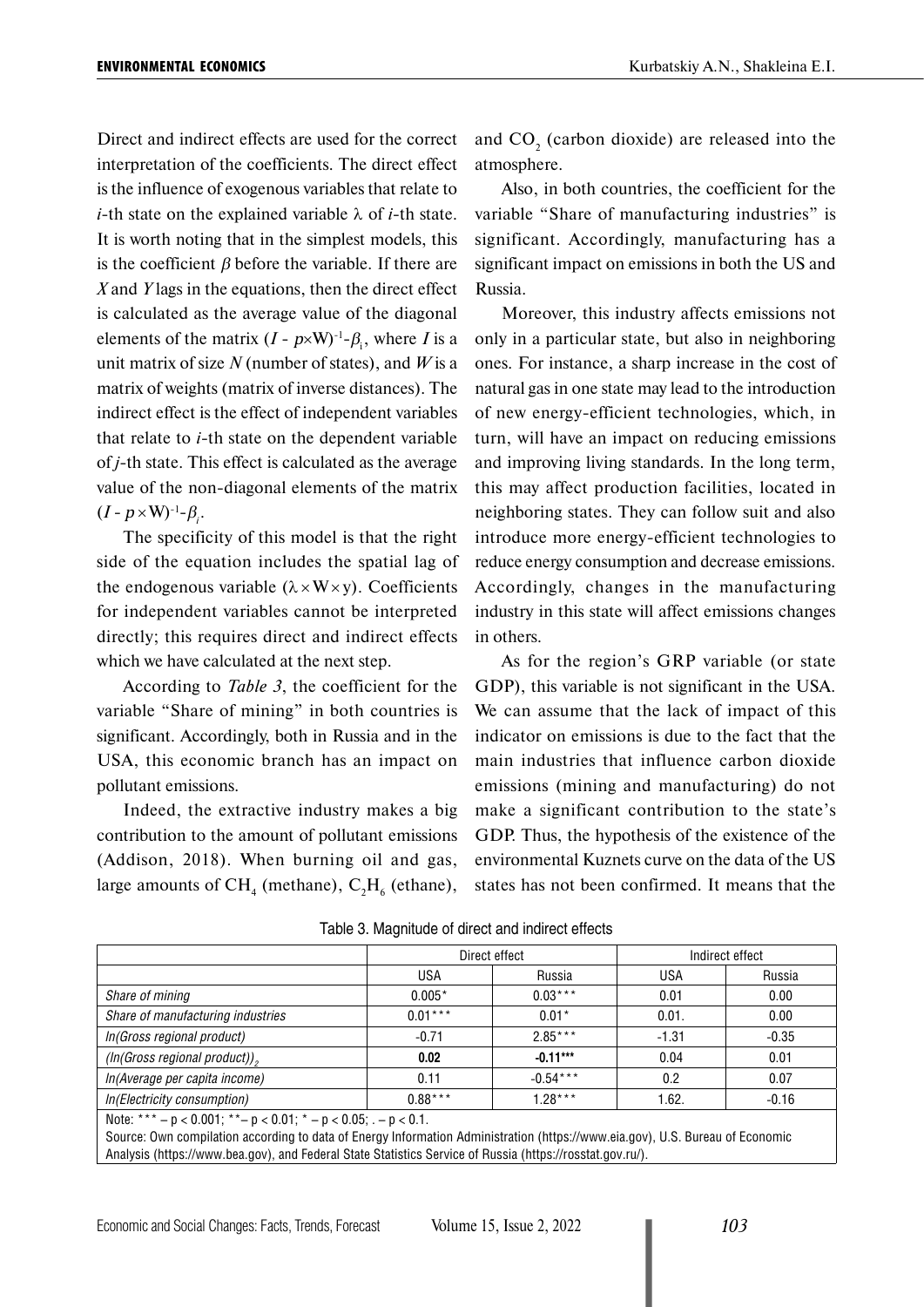Direct and indirect effects are used for the correct interpretation of the coefficients. The direct effect is the influence of exogenous variables that relate to *i*-th state on the explained variable λ of *i*-th state. It is worth noting that in the simplest models, this is the coefficient  $\beta$  before the variable. If there are *X* and *Y* lags in the equations, then the direct effect is calculated as the average value of the diagonal elements of the matrix  $(I - p \times W)^{-1} - \beta_i$ , where *I* is a unit matrix of size *N* (number of states), and *W* is a matrix of weights (matrix of inverse distances). The indirect effect is the effect of independent variables that relate to *i*-th state on the dependent variable of *j*-th state. This effect is calculated as the average value of the non-diagonal elements of the matrix  $(I - p \times W)^{-1}$ - $\beta_i$ .

The specificity of this model is that the right side of the equation includes the spatial lag of the endogenous variable  $(\lambda \times W \times V)$ . Coefficients for independent variables cannot be interpreted directly; this requires direct and indirect effects which we have calculated at the next step.

According to *Table 3*, the coefficient for the variable "Share of mining" in both countries is significant. Accordingly, both in Russia and in the USA, this economic branch has an impact on pollutant emissions.

Indeed, the extractive industry makes a big contribution to the amount of pollutant emissions (Addison, 2018). When burning oil and gas, large amounts of  $CH_4$  (methane),  $C_2H_6$  (ethane),

and  $CO<sub>2</sub>$  (carbon dioxide) are released into the atmosphere.

Also, in both countries, the coefficient for the variable "Share of manufacturing industries" is significant. Accordingly, manufacturing has a significant impact on emissions in both the US and Russia.

Moreover, this industry affects emissions not only in a particular state, but also in neighboring ones. For instance, a sharp increase in the cost of natural gas in one state may lead to the introduction of new energy-efficient technologies, which, in turn, will have an impact on reducing emissions and improving living standards. In the long term, this may affect production facilities, located in neighboring states. They can follow suit and also introduce more energy-efficient technologies to reduce energy consumption and decrease emissions. Accordingly, changes in the manufacturing industry in this state will affect emissions changes in others.

As for the region's GRP variable (or state GDP), this variable is not significant in the USA. We can assume that the lack of impact of this indicator on emissions is due to the fact that the main industries that influence carbon dioxide emissions (mining and manufacturing) do not make a significant contribution to the state's GDP. Thus, the hypothesis of the existence of the environmental Kuznets curve on the data of the US states has not been confirmed. It means that the

|                                   | Direct effect |            | Indirect effect |         |
|-----------------------------------|---------------|------------|-----------------|---------|
|                                   | <b>USA</b>    | Russia     | <b>USA</b>      | Russia  |
| Share of mining                   | $0.005*$      | $0.03***$  | 0.01            | 0.00    |
| Share of manufacturing industries | $0.01***$     | $0.01*$    | 0.01.           | 0.00    |
| In(Gross regional product)        | $-0.71$       | $2.85***$  | $-1.31$         | $-0.35$ |
| (In(Gross regional product)),     | 0.02          | $-0.11***$ | 0.04            | 0.01    |
| In(Average per capita income)     | 0.11          | $-0.54***$ | 0.2             | 0.07    |
| In(Electricity consumption)       | $0.88***$     | $1.28***$  | 1.62.           | $-0.16$ |

Table 3. Magnitude of direct and indirect effects

Source: Own compilation according to data of Energy Information Administration [\(https://www.eia.gov\)](https://www.eia.gov), U.S. Bureau of Economic Analysis (<https://www.bea.gov>), and Federal State Statistics Service of Russia ([https://rosstat.gov.ru/\)](http://www.gks.ru/).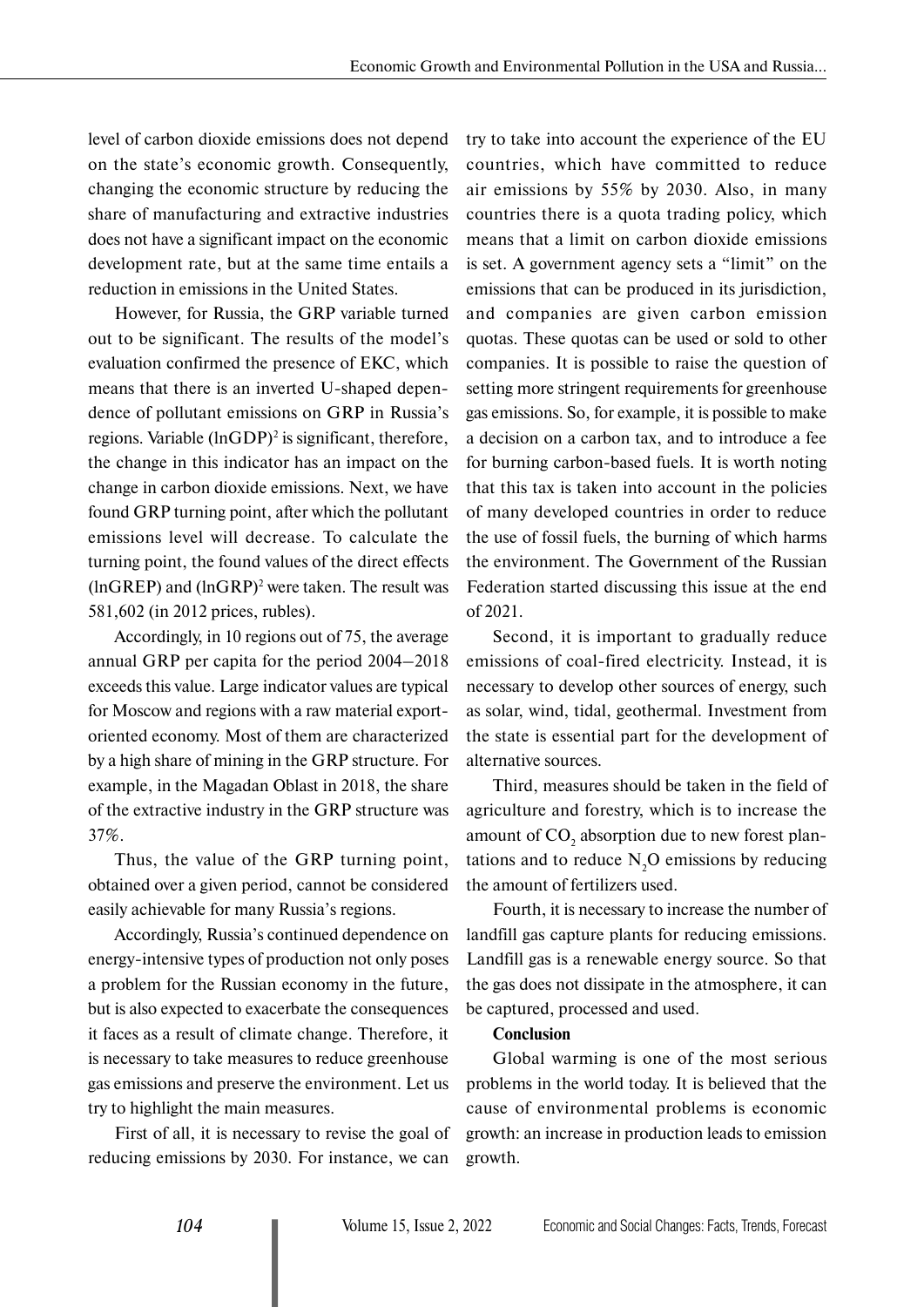level of carbon dioxide emissions does not depend on the state's economic growth. Consequently, changing the economic structure by reducing the share of manufacturing and extractive industries does not have a significant impact on the economic development rate, but at the same time entails a reduction in emissions in the United States.

However, for Russia, the GRP variable turned out to be significant. The results of the model's evaluation confirmed the presence of EKC, which means that there is an inverted U-shaped dependence of pollutant emissions on GRP in Russia's regions. Variable  $(lnGDP)^2$  is significant, therefore, the change in this indicator has an impact on the change in carbon dioxide emissions. Next, we have found GRP turning point, after which the pollutant emissions level will decrease. To calculate the turning point, the found values of the direct effects  $(lnGREP)$  and  $(lnGRP)^2$  were taken. The result was 581,602 (in 2012 prices, rubles).

Accordingly, in 10 regions out of 75, the average annual GRP per capita for the period 2004–2018 exceeds this value. Large indicator values are typical for Moscow and regions with a raw material exportoriented economy. Most of them are characterized by a high share of mining in the GRP structure. For example, in the Magadan Oblast in 2018, the share of the extractive industry in the GRP structure was 37%.

Thus, the value of the GRP turning point, obtained over a given period, cannot be considered easily achievable for many Russia's regions.

Accordingly, Russia's continued dependence on energy-intensive types of production not only poses a problem for the Russian economy in the future, but is also expected to exacerbate the consequences it faces as a result of climate change. Therefore, it is necessary to take measures to reduce greenhouse gas emissions and preserve the environment. Let us try to highlight the main measures.

First of all, it is necessary to revise the goal of reducing emissions by 2030. For instance, we can

try to take into account the experience of the EU countries, which have committed to reduce air emissions by 55% by 2030. Also, in many countries there is a quota trading policy, which means that a limit on carbon dioxide emissions is set. A government agency sets a "limit" on the emissions that can be produced in its jurisdiction, and companies are given carbon emission quotas. These quotas can be used or sold to other companies. It is possible to raise the question of setting more stringent requirements for greenhouse gas emissions. So, for example, it is possible to make a decision on a carbon tax, and to introduce a fee for burning carbon-based fuels. It is worth noting that this tax is taken into account in the policies of many developed countries in order to reduce the use of fossil fuels, the burning of which harms the environment. The Government of the Russian Federation started discussing this issue at the end of 2021.

Second, it is important to gradually reduce emissions of coal-fired electricity. Instead, it is necessary to develop other sources of energy, such as solar, wind, tidal, geothermal. Investment from the state is essential part for the development of alternative sources.

Third, measures should be taken in the field of agriculture and forestry, which is to increase the amount of  $CO_2$  absorption due to new forest plantations and to reduce  $N_2O$  emissions by reducing the amount of fertilizers used.

Fourth, it is necessary to increase the number of landfill gas capture plants for reducing emissions. Landfill gas is a renewable energy source. So that the gas does not dissipate in the atmosphere, it can be captured, processed and used.

#### **Conclusion**

Global warming is one of the most serious problems in the world today. It is believed that the cause of environmental problems is economic growth: an increase in production leads to emission growth.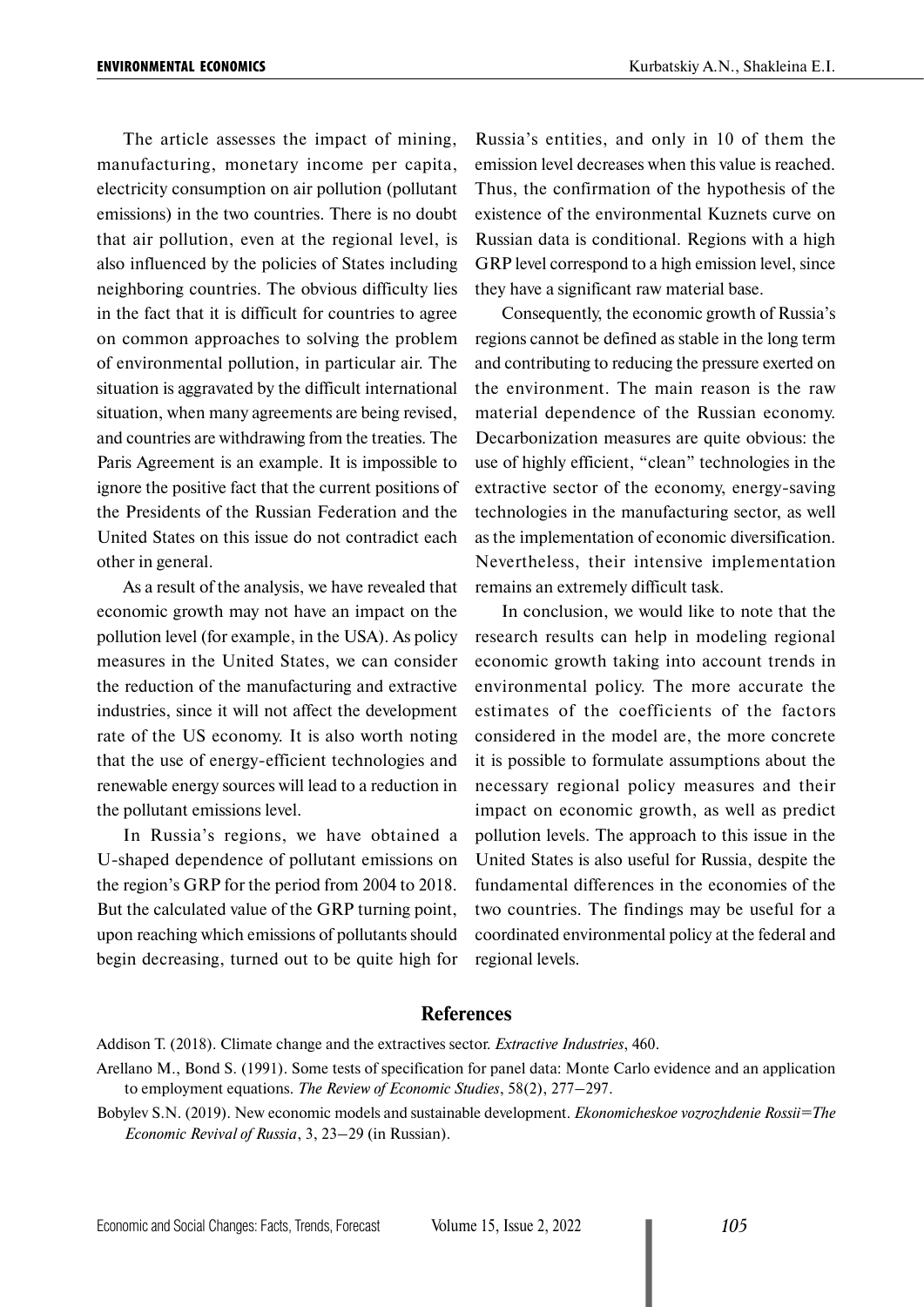The article assesses the impact of mining, manufacturing, monetary income per capita, electricity consumption on air pollution (pollutant emissions) in the two countries. There is no doubt that air pollution, even at the regional level, is also influenced by the policies of States including neighboring countries. The obvious difficulty lies in the fact that it is difficult for countries to agree on common approaches to solving the problem of environmental pollution, in particular air. The situation is aggravated by the difficult international situation, when many agreements are being revised, and countries are withdrawing from the treaties. The Paris Agreement is an example. It is impossible to ignore the positive fact that the current positions of the Presidents of the Russian Federation and the United States on this issue do not contradict each other in general.

As a result of the analysis, we have revealed that economic growth may not have an impact on the pollution level (for example, in the USA). As policy measures in the United States, we can consider the reduction of the manufacturing and extractive industries, since it will not affect the development rate of the US economy. It is also worth noting that the use of energy-efficient technologies and renewable energy sources will lead to a reduction in the pollutant emissions level.

In Russia's regions, we have obtained a U-shaped dependence of pollutant emissions on the region's GRP for the period from 2004 to 2018. But the calculated value of the GRP turning point, upon reaching which emissions of pollutants should begin decreasing, turned out to be quite high for

Russia's entities, and only in 10 of them the emission level decreases when this value is reached. Thus, the confirmation of the hypothesis of the existence of the environmental Kuznets curve on Russian data is conditional. Regions with a high GRP level correspond to a high emission level, since they have a significant raw material base.

Consequently, the economic growth of Russia's regions cannot be defined as stable in the long term and contributing to reducing the pressure exerted on the environment. The main reason is the raw material dependence of the Russian economy. Decarbonization measures are quite obvious: the use of highly efficient, "clean" technologies in the extractive sector of the economy, energy-saving technologies in the manufacturing sector, as well as the implementation of economic diversification. Nevertheless, their intensive implementation remains an extremely difficult task.

In conclusion, we would like to note that the research results can help in modeling regional economic growth taking into account trends in environmental policy. The more accurate the estimates of the coefficients of the factors considered in the model are, the more concrete it is possible to formulate assumptions about the necessary regional policy measures and their impact on economic growth, as well as predict pollution levels. The approach to this issue in the United States is also useful for Russia, despite the fundamental differences in the economies of the two countries. The findings may be useful for a coordinated environmental policy at the federal and regional levels.

### **References**

- Addison T. (2018). Climate change and the extractives sector. *Extractive Industries*, 460.
- Arellano M., Bond S. (1991). Some tests of specification for panel data: Monte Carlo evidence and an application to employment equations. *The Review of Economic Studies*, 58(2), 277–297.
- Bobylev S.N. (2019). New economic models and sustainable development. *Ekonomicheskoe vozrozhdenie Rossii=The Economic Revival of Russia*, 3, 23–29 (in Russian).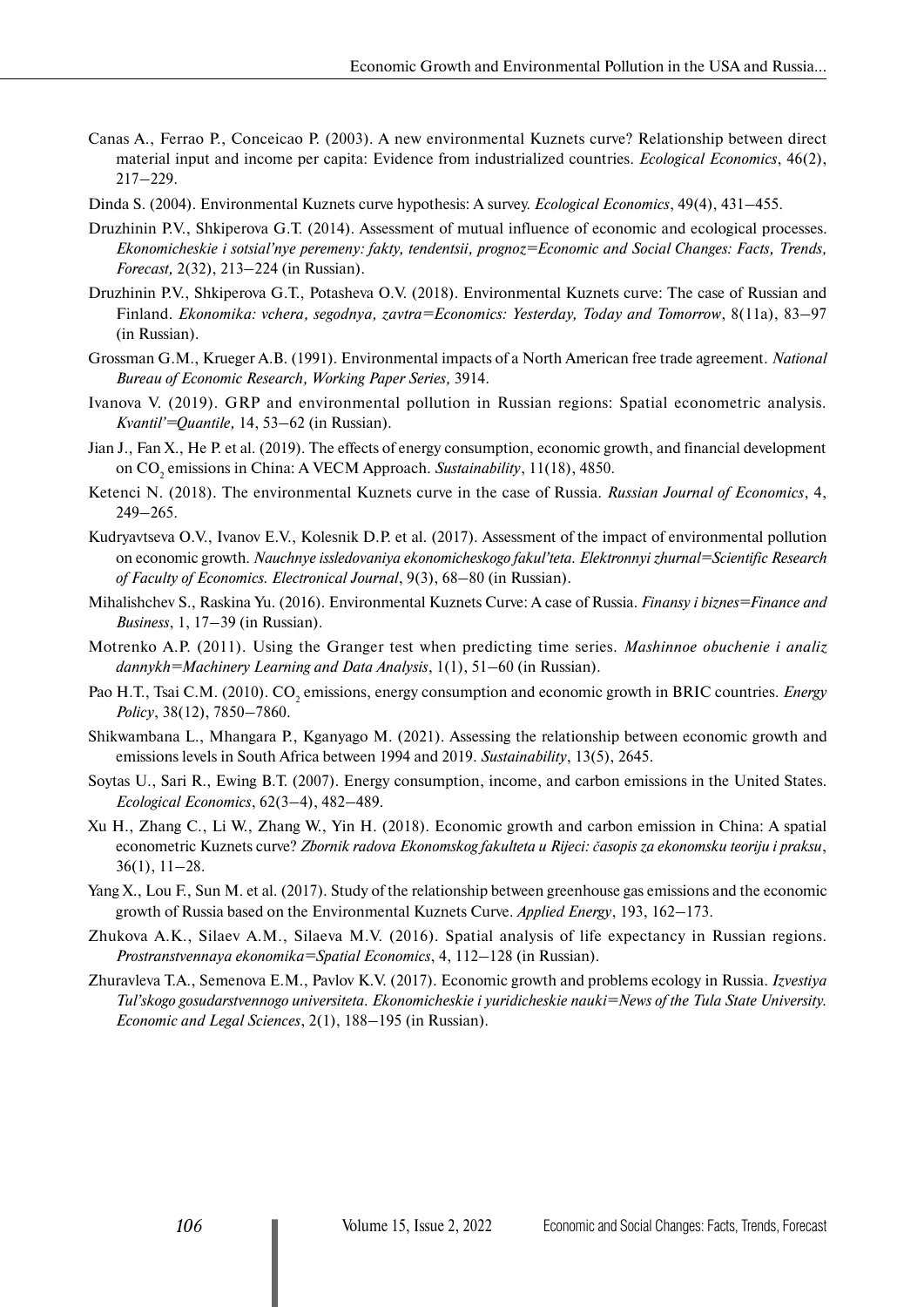- Canas A., Ferrao P., Conceicao P. (2003). A new environmental Kuznets curve? Relationship between direct material input and income per capita: Evidence from industrialized countries. *Ecological Economics*, 46(2), 217–229.
- Dinda S. (2004). Environmental Kuznets curve hypothesis: A survey. *Ecological Economics*, 49(4), 431–455.
- Druzhinin P.V., Shkiperova G.T. (2014). Assessment of mutual influence of economic and ecological processes. *Ekonomicheskie i sotsial'nye peremeny: fakty, tendentsii, prognoz=Economic and Social Changes: Facts, Trends, Forecast,* 2(32), 213–224 (in Russian).
- Druzhinin P.V., Shkiperova G.T., Potasheva O.V. (2018). Environmental Kuznets curve: The case of Russian and Finland. *Ekonomika: vchera, segodnya, zavtra=Economics: Yesterday, Today and Tomorrow*, 8(11а), 83–97 (in Russian).
- Grossman G.M., Krueger A.B. (1991). Environmental impacts of a North American free trade agreement. *National Bureau of Economic Research, Working Paper Series,* 3914.
- Ivanova V. (2019). GRP and environmental pollution in Russian regions: Spatial econometric analysis. *Kvantil'=Quantile,* 14, 53–62 (in Russian).
- Jian J., Fan X., He P. et al. (2019). The effects of energy consumption, economic growth, and financial development on CO<sub>2</sub> emissions in China: A VECM Approach. *Sustainability*, 11(18), 4850.
- Ketenci N. (2018). The environmental Kuznets curve in the case of Russia. *Russian Journal of Economics*, 4, 249–265.
- Kudryavtseva O.V., Ivanov E.V., Kolesnik D.P. et al. (2017). Assessment of the impact of environmental pollution on economic growth. *Nauchnye issledovaniya ekonomicheskogo fakul'teta. Elektronnyi zhurnal=Scientific Research of Faculty of Economics. Electronical Journal*, 9(3), 68–80 (in Russian).
- Mihalishchev S., Raskina Yu. (2016). Environmental Kuznets Curve: A case of Russia. *Finansy i biznes=Finance and Business*, 1, 17–39 (in Russian).
- Motrenko A.P. (2011). Using the Granger test when predicting time series. *Mashinnoe obuchenie i analiz dannykh=Machinery Learning and Data Analysis*, 1(1), 51–60 (in Russian).
- Pao H.T., Tsai C.M. (2010). CO<sub>2</sub> emissions, energy consumption and economic growth in BRIC countries. *Energy Policy*, 38(12), 7850–7860.
- Shikwambana L., Mhangara P., Kganyago M. (2021). Assessing the relationship between economic growth and emissions levels in South Africa between 1994 and 2019. *Sustainability*, 13(5), 2645.
- Soytas U., Sari R., Ewing B.T. (2007). Energy consumption, income, and carbon emissions in the United States. *Ecological Economics*, 62(3–4), 482–489.
- Xu H., Zhang C., Li W., Zhang W., Yin H. (2018). Economic growth and carbon emission in China: A spatial econometric Kuznets curve? *Zbornik radova Ekonomskog fakulteta u Rijeci: časopis za ekonomsku teoriju i praksu*, 36(1), 11–28.
- Yang X., Lou F., Sun M. et al. (2017). Study of the relationship between greenhouse gas emissions and the economic growth of Russia based on the Environmental Kuznets Curve. *Applied Energy*, 193, 162–173.
- Zhukova A.K., Silaev A.M., Silaeva M.V. (2016). Spatial analysis of life expectancy in Russian regions. *Prostranstvennaya ekonomika=Spatial Economics*, 4, 112–128 (in Russian).
- Zhuravleva T.A., Semenova E.M., Pavlov K.V. (2017). Economic growth and problems ecology in Russia. *Izvestiya Tul'skogo gosudarstvennogo universiteta. Ekonomicheskie i yuridicheskie nauki=News of the Tula State University. Economic and Legal Sciences*, 2(1), 188–195 (in Russian).